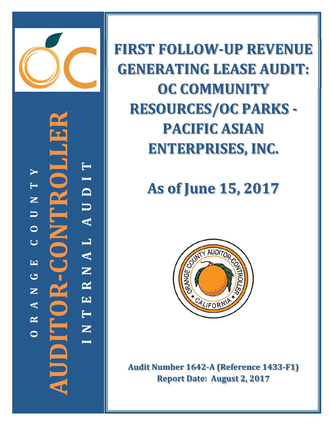

**‐CONTROLLER T** ITROI **Y I T D N U U A O L C A EN** JDITOR-**GR AUDITOR N E A T R N OI**

**FIRST FOLLOW‐UP REVENUE GENERATING LEASE AUDIT: OC COMMUNITY RESOURCES/OC PARKS -PACIFIC ASIAN ENTERPRISES, INC.**

# **As of June 15, 2017**



**Audit Number 1642‐A (Reference 1433‐F1) Report Date: August 2, 2017**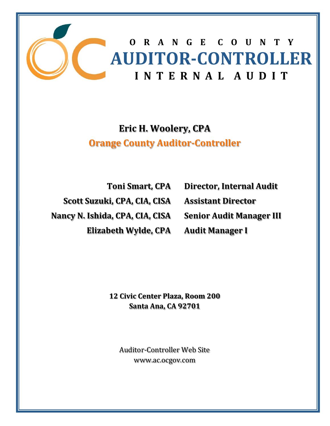

# **Eric H. Woolery, CPA Orange County Auditor‐Controller**

**Toni Smart, CPA Scott Suzuki, CPA, CIA, CISA Nancy N. Ishida, CPA, CIA, CISA Elizabeth Wylde, CPA** **Director, Internal Audit Assistant Director Senior Audit Manager III Audit Manager I**

**12 Civic Center Plaza, Room 200 Santa Ana, CA 92701**

Auditor-Controller Web Site www.ac.ocgov.com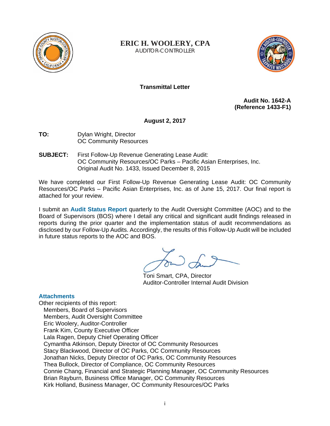

**ERIC H. WOOLERY, CPA** AUDITOR-CONTROLLER



# **Transmittal Letter**

**Audit No. 1642-A (Reference 1433-F1)** 

**August 2, 2017** 

- **TO:** Dylan Wright, Director OC Community Resources
- **SUBJECT:** First Follow-Up Revenue Generating Lease Audit: OC Community Resources/OC Parks – Pacific Asian Enterprises, Inc. Original Audit No. 1433, Issued December 8, 2015

We have completed our First Follow-Up Revenue Generating Lease Audit: OC Community Resources/OC Parks – Pacific Asian Enterprises, Inc. as of June 15, 2017. Our final report is attached for your review.

I submit an **Audit Status Report** quarterly to the Audit Oversight Committee (AOC) and to the Board of Supervisors (BOS) where I detail any critical and significant audit findings released in reports during the prior quarter and the implementation status of audit recommendations as disclosed by our Follow-Up Audits. Accordingly, the results of this Follow-Up Audit will be included in future status reports to the AOC and BOS.

Toni Smart, CPA, Director Auditor-Controller Internal Audit Division

## **Attachments**

Other recipients of this report: Members, Board of Supervisors Members, Audit Oversight Committee Eric Woolery, Auditor-Controller Frank Kim, County Executive Officer Lala Ragen, Deputy Chief Operating Officer Cymantha Atkinson, Deputy Director of OC Community Resources Stacy Blackwood, Director of OC Parks, OC Community Resources Jonathan Nicks, Deputy Director of OC Parks, OC Community Resources Thea Bullock, Director of Compliance, OC Community Resources Connie Chang, Financial and Strategic Planning Manager, OC Community Resources Brian Rayburn, Business Office Manager, OC Community Resources Kirk Holland, Business Manager, OC Community Resources/OC Parks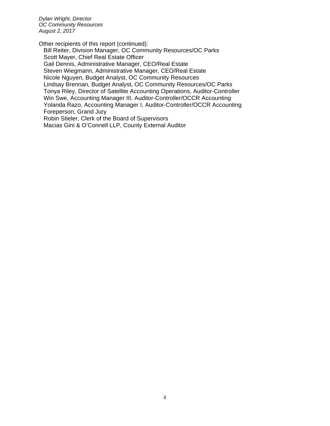*Dylan Wright, Director OC Community Resources August 2, 2017*

Other recipients of this report (continued):

Bill Reiter, Division Manager, OC Community Resources/OC Parks Scott Mayer, Chief Real Estate Officer Gail Dennis, Administrative Manager, CEO/Real Estate Steven Wiegmann, Administrative Manager, CEO/Real Estate Nicole Nguyen, Budget Analyst, OC Community Resources Lindsay Brennan, Budget Analyst, OC Community Resources/OC Parks Tonya Riley, Director of Satellite Accounting Operations, Auditor-Controller Win Swe, Accounting Manager III, Auditor-Controller/OCCR Accounting Yolanda Razo, Accounting Manager I, Auditor-Controller/OCCR Accounting Foreperson, Grand Jury Robin Stieler, Clerk of the Board of Supervisors

Macias Gini & O'Connell LLP, County External Auditor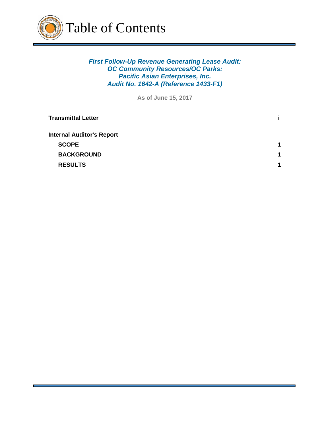

*First Follow-Up Revenue Generating Lease Audit: OC Community Resources/OC Parks: Pacific Asian Enterprises, Inc. Audit No. 1642-A (Reference 1433-F1)*

**As of June 15, 2017**

| <b>Transmittal Letter</b>        |             |
|----------------------------------|-------------|
| <b>Internal Auditor's Report</b> |             |
| <b>SCOPE</b>                     | 1           |
| <b>BACKGROUND</b>                | $\mathbf 1$ |
| <b>RESULTS</b>                   | 1           |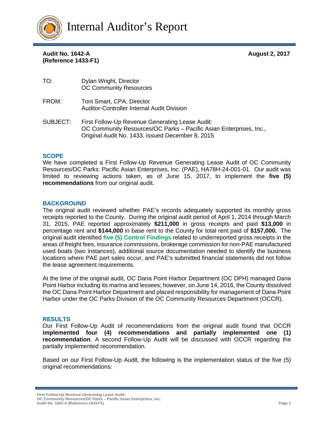

**Audit No. 1642-A August 2, 2017 (Reference 1433-F1)** 

| TO:      | Dylan Wright, Director<br><b>OC Community Resources</b>                                                                                                                   |
|----------|---------------------------------------------------------------------------------------------------------------------------------------------------------------------------|
| FROM:    | Toni Smart, CPA, Director<br><b>Auditor-Controller Internal Audit Division</b>                                                                                            |
| SUBJECT: | First Follow-Up Revenue Generating Lease Audit:<br>OC Community Resources/OC Parks – Pacific Asian Enterprises, Inc.,<br>Original Audit No. 1433, Issued December 8, 2015 |

#### **SCOPE**

We have completed a First Follow-Up Revenue Generating Lease Audit of OC Community Resources/OC Parks: Pacific Asian Enterprises, Inc. (PAE), HA78H-24-001-01. Our audit was limited to reviewing actions taken, as of June 15, 2017, to implement the **five (5) recommendations** from our original audit.

#### **BACKGROUND**

The original audit reviewed whether PAE's records adequately supported its monthly gross receipts reported to the County. During the original audit period of April 1, 2014 through March 31, 2015, PAE reported approximately **\$211,000** in gross receipts and paid **\$13,000** in percentage rent and **\$144,000** in base rent to the County for total rent paid of **\$157,000.** The original audit identified **five (5) Control Findings** related to underreported gross receipts in the areas of freight fees, insurance commissions, brokerage commission for non-PAE manufactured used boats (two instances), additional source documentation needed to identify the business locations where PAE part sales occur, and PAE's submitted financial statements did not follow the lease agreement requirements.

At the time of the original audit, OC Dana Point Harbor Department (OC DPH) managed Dana Point Harbor including its marina and lessees; however, on June 14, 2016, the County dissolved the OC Dana Point Harbor Department and placed responsibility for management of Dana Point Harbor under the OC Parks Division of the OC Community Resources Department (OCCR).

#### **RESULTS**

Our First Follow-Up Audit of recommendations from the original audit found that OCCR **implemented four (4) recommendations and partially implemented one (1) recommendation**. A second Follow-Up Audit will be discussed with OCCR regarding the partially implemented recommendation.

Based on our First Follow-Up Audit, the following is the implementation status of the five (5) original recommendations:

**First Follow-Up Revenue Generating Lease Audit: OC Community Resources/OC Parks – Pacific Asian Enterprises, Inc.** 

**Audit No. 1642-A (Reference 1433-F1) Page 1**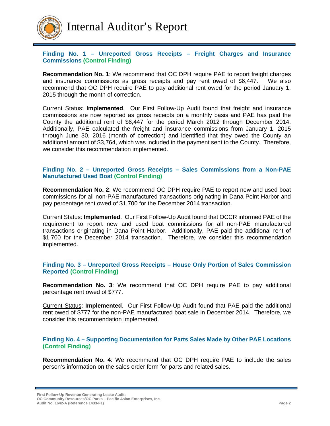

## **Finding No. 1 – Unreported Gross Receipts – Freight Charges and Insurance Commissions (Control Finding)**

**Recommendation No. 1**: We recommend that OC DPH require PAE to report freight charges and insurance commissions as gross receipts and pay rent owed of \$6,447. We also recommend that OC DPH require PAE to pay additional rent owed for the period January 1, 2015 through the month of correction.

Current Status: **Implemented**. Our First Follow-Up Audit found that freight and insurance commissions are now reported as gross receipts on a monthly basis and PAE has paid the County the additional rent of \$6,447 for the period March 2012 through December 2014. Additionally, PAE calculated the freight and insurance commissions from January 1, 2015 through June 30, 2016 (month of correction) and identified that they owed the County an additional amount of \$3,764, which was included in the payment sent to the County. Therefore, we consider this recommendation implemented.

#### **Finding No. 2 – Unreported Gross Receipts – Sales Commissions from a Non-PAE Manufactured Used Boat (Control Finding)**

**Recommendation No. 2**: We recommend OC DPH require PAE to report new and used boat commissions for all non-PAE manufactured transactions originating in Dana Point Harbor and pay percentage rent owed of \$1,700 for the December 2014 transaction.

Current Status: **Implemented**. Our First Follow-Up Audit found that OCCR informed PAE of the requirement to report new and used boat commissions for all non-PAE manufactured transactions originating in Dana Point Harbor. Additionally, PAE paid the additional rent of \$1,700 for the December 2014 transaction. Therefore, we consider this recommendation implemented.

#### **Finding No. 3 – Unreported Gross Receipts – House Only Portion of Sales Commission Reported (Control Finding)**

**Recommendation No. 3**: We recommend that OC DPH require PAE to pay additional percentage rent owed of \$777.

Current Status: **Implemented**. Our First Follow-Up Audit found that PAE paid the additional rent owed of \$777 for the non-PAE manufactured boat sale in December 2014. Therefore, we consider this recommendation implemented.

#### **Finding No. 4 – Supporting Documentation for Parts Sales Made by Other PAE Locations (Control Finding)**

**Recommendation No. 4**: We recommend that OC DPH require PAE to include the sales person's information on the sales order form for parts and related sales.

**First Follow-Up Revenue Generating Lease Audit: OC Community Resources/OC Parks – Pacific Asian Enterprises, Inc.** 

**Audit No. 1642-A (Reference 1433-F1) Page 2**